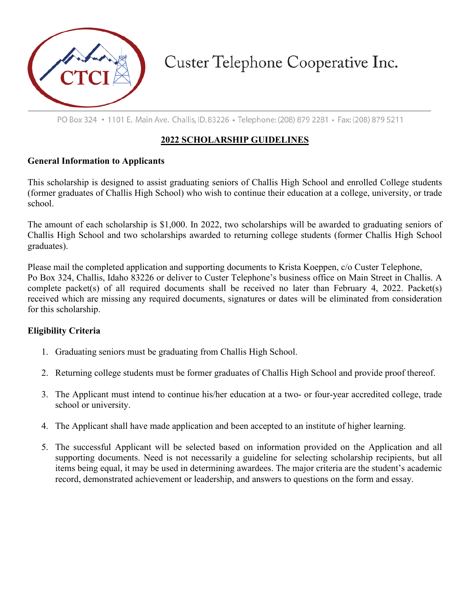

Custer Telephone Cooperative Inc.

PO Box 324 • 1101 E. Main Ave. Challis, ID. 83226 • Telephone: (208) 879 2281 • Fax: (208) 879 5211

## **2022 SCHOLARSHIP GUIDELINES**

#### **General Information to Applicants**

This scholarship is designed to assist graduating seniors of Challis High School and enrolled College students (former graduates of Challis High School) who wish to continue their education at a college, university, or trade school.

The amount of each scholarship is \$1,000. In 2022, two scholarships will be awarded to graduating seniors of Challis High School and two scholarships awarded to returning college students (former Challis High School graduates).

Please mail the completed application and supporting documents to Krista Koeppen, c/o Custer Telephone, Po Box 324, Challis, Idaho 83226 or deliver to Custer Telephone's business office on Main Street in Challis. A complete packet(s) of all required documents shall be received no later than February 4, 2022. Packet(s) received which are missing any required documents, signatures or dates will be eliminated from consideration for this scholarship.

### **Eligibility Criteria**

- 1. Graduating seniors must be graduating from Challis High School.
- 2. Returning college students must be former graduates of Challis High School and provide proof thereof.
- 3. The Applicant must intend to continue his/her education at a two- or four-year accredited college, trade school or university.
- 4. The Applicant shall have made application and been accepted to an institute of higher learning.
- 5. The successful Applicant will be selected based on information provided on the Application and all supporting documents. Need is not necessarily a guideline for selecting scholarship recipients, but all items being equal, it may be used in determining awardees. The major criteria are the student's academic record, demonstrated achievement or leadership, and answers to questions on the form and essay.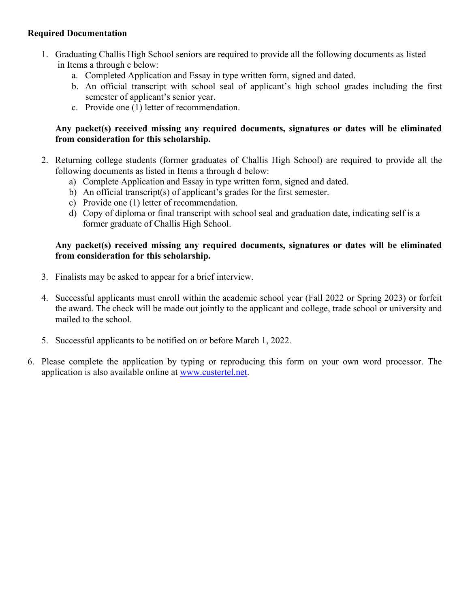#### **Required Documentation**

- 1. Graduating Challis High School seniors are required to provide all the following documents as listed in Items a through c below:
	- a. Completed Application and Essay in type written form, signed and dated.
	- b. An official transcript with school seal of applicant's high school grades including the first semester of applicant's senior year.
	- c. Provide one (1) letter of recommendation.

#### **Any packet(s) received missing any required documents, signatures or dates will be eliminated from consideration for this scholarship.**

- 2. Returning college students (former graduates of Challis High School) are required to provide all the following documents as listed in Items a through d below:
	- a) Complete Application and Essay in type written form, signed and dated.
	- b) An official transcript(s) of applicant's grades for the first semester.
	- c) Provide one (1) letter of recommendation.
	- d) Copy of diploma or final transcript with school seal and graduation date, indicating self is a former graduate of Challis High School.

#### **Any packet(s) received missing any required documents, signatures or dates will be eliminated from consideration for this scholarship.**

- 3. Finalists may be asked to appear for a brief interview.
- 4. Successful applicants must enroll within the academic school year (Fall 2022 or Spring 2023) or forfeit the award. The check will be made out jointly to the applicant and college, trade school or university and mailed to the school.
- 5. Successful applicants to be notified on or before March 1, 2022.
- 6. Please complete the application by typing or reproducing this form on your own word processor. The application is also available online at [www.custertel.net.](http://www.custertel.net/)